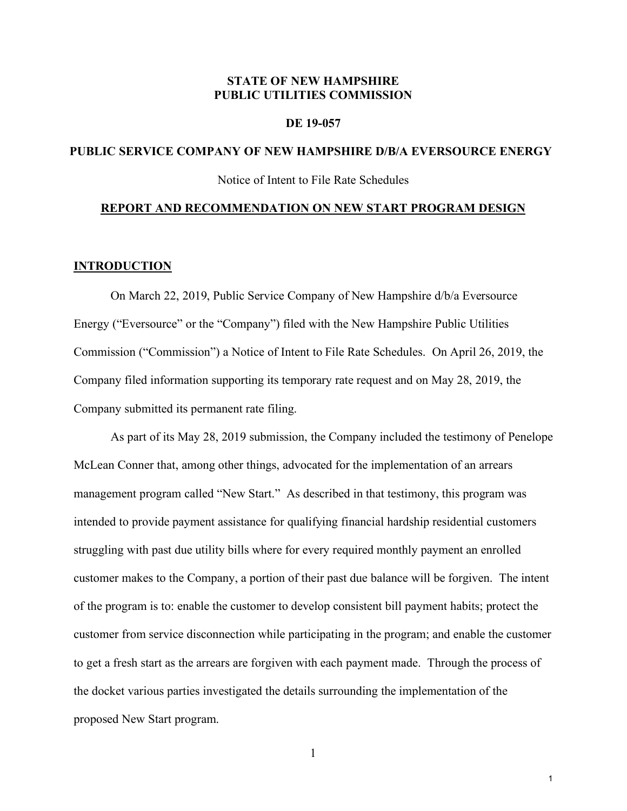# **STATE OF NEW HAMPSHIRE PUBLIC UTILITIES COMMISSION**

#### **DE 19-057**

# **PUBLIC SERVICE COMPANY OF NEW HAMPSHIRE D/B/A EVERSOURCE ENERGY**

Notice of Intent to File Rate Schedules

#### **REPORT AND RECOMMENDATION ON NEW START PROGRAM DESIGN**

#### **INTRODUCTION**

On March 22, 2019, Public Service Company of New Hampshire d/b/a Eversource Energy ("Eversource" or the "Company") filed with the New Hampshire Public Utilities Commission ("Commission") a Notice of Intent to File Rate Schedules. On April 26, 2019, the Company filed information supporting its temporary rate request and on May 28, 2019, the Company submitted its permanent rate filing.

As part of its May 28, 2019 submission, the Company included the testimony of Penelope McLean Conner that, among other things, advocated for the implementation of an arrears management program called "New Start." As described in that testimony, this program was intended to provide payment assistance for qualifying financial hardship residential customers struggling with past due utility bills where for every required monthly payment an enrolled customer makes to the Company, a portion of their past due balance will be forgiven. The intent of the program is to: enable the customer to develop consistent bill payment habits; protect the customer from service disconnection while participating in the program; and enable the customer to get a fresh start as the arrears are forgiven with each payment made. Through the process of the docket various parties investigated the details surrounding the implementation of the proposed New Start program.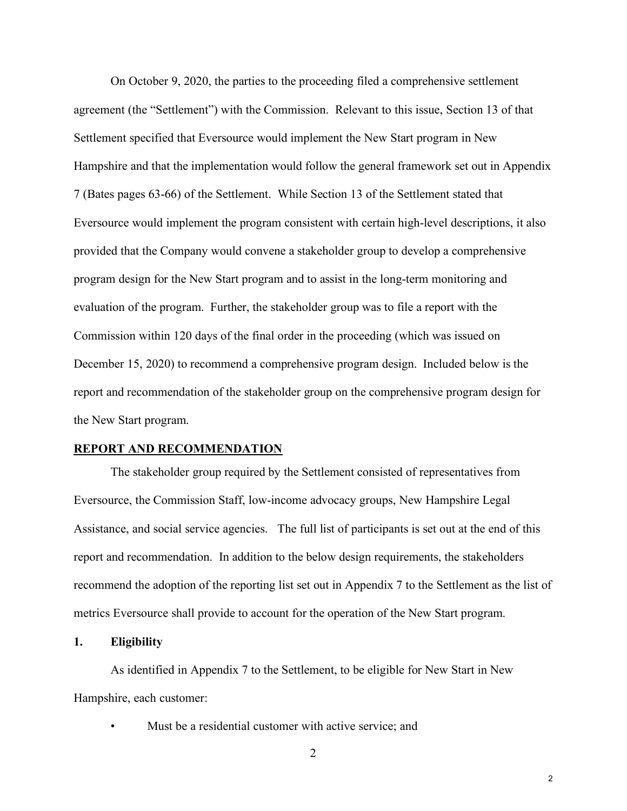On October 9, 2020, the parties to the proceeding filed a comprehensive settlement agreement (the "Settlement") with the Commission. Relevant to this issue, Section 13 of that Settlement specified that Eversource would implement the New Start program in New Hampshire and that the implementation would follow the general framework set out in Appendix 7 (Bates pages 63-66) of the Settlement. While Section 13 of the Settlement stated that Eversource would implement the program consistent with certain high-level descriptions, it also provided that the Company would convene a stakeholder group to develop a comprehensive program design for the New Start program and to assist in the long-term monitoring and evaluation of the program. Further, the stakeholder group was to file a report with the Commission within 120 days of the final order in the proceeding (which was issued on December 15, 2020) to recommend a comprehensive program design. Included below is the report and recommendation of the stakeholder group on the comprehensive program design for the New Start program.

#### **REPORT AND RECOMMENDATION**

The stakeholder group required by the Settlement consisted of representatives from Eversource, the Commission Staff, low-income advocacy groups, New Hampshire Legal Assistance, and social service agencies. The full list of participants is set out at the end of this report and recommendation. In addition to the below design requirements, the stakeholders recommend the adoption of the reporting list set out in Appendix 7 to the Settlement as the list of metrics Eversource shall provide to account for the operation of the New Start program.

#### **1. Eligibility**

As identified in Appendix 7 to the Settlement, to be eligible for New Start in New Hampshire, each customer:

- Must be a residential customer with active service; and
	- 2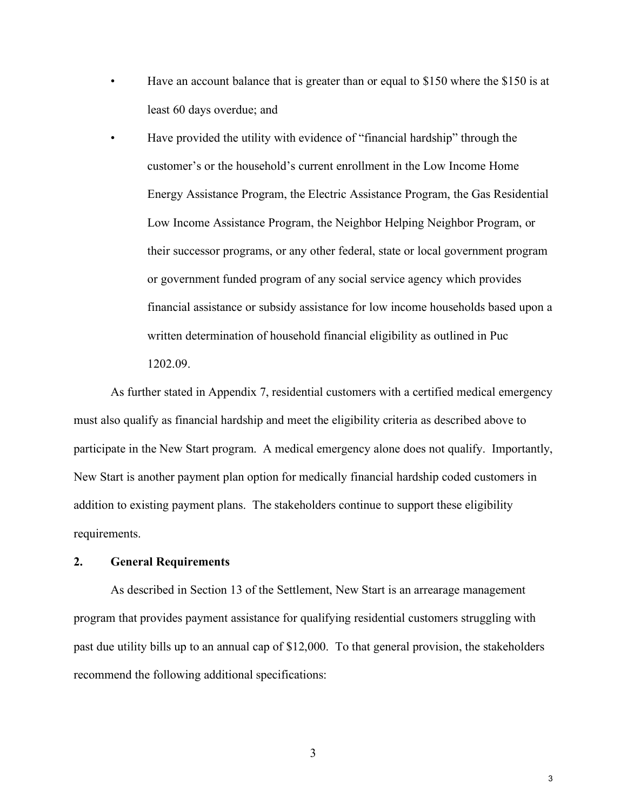- Have an account balance that is greater than or equal to \$150 where the \$150 is at least 60 days overdue; and
- Have provided the utility with evidence of "financial hardship" through the customer's or the household's current enrollment in the Low Income Home Energy Assistance Program, the Electric Assistance Program, the Gas Residential Low Income Assistance Program, the Neighbor Helping Neighbor Program, or their successor programs, or any other federal, state or local government program or government funded program of any social service agency which provides financial assistance or subsidy assistance for low income households based upon a written determination of household financial eligibility as outlined in Puc 1202.09.

As further stated in Appendix 7, residential customers with a certified medical emergency must also qualify as financial hardship and meet the eligibility criteria as described above to participate in the New Start program. A medical emergency alone does not qualify. Importantly, New Start is another payment plan option for medically financial hardship coded customers in addition to existing payment plans. The stakeholders continue to support these eligibility requirements.

# **2. General Requirements**

As described in Section 13 of the Settlement, New Start is an arrearage management program that provides payment assistance for qualifying residential customers struggling with past due utility bills up to an annual cap of \$12,000. To that general provision, the stakeholders recommend the following additional specifications: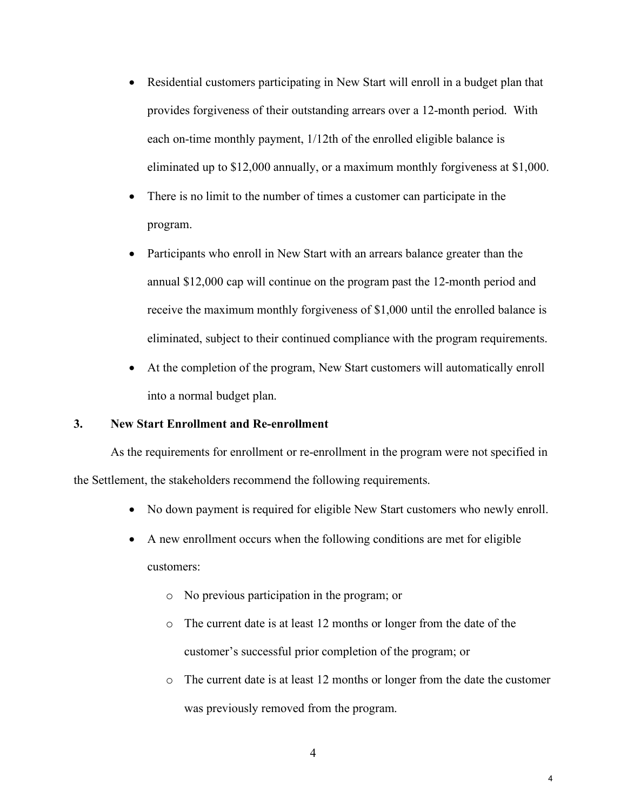- Residential customers participating in New Start will enroll in a budget plan that provides forgiveness of their outstanding arrears over a 12-month period. With each on-time monthly payment, 1/12th of the enrolled eligible balance is eliminated up to \$12,000 annually, or a maximum monthly forgiveness at \$1,000.
- There is no limit to the number of times a customer can participate in the program.
- Participants who enroll in New Start with an arrears balance greater than the annual \$12,000 cap will continue on the program past the 12-month period and receive the maximum monthly forgiveness of \$1,000 until the enrolled balance is eliminated, subject to their continued compliance with the program requirements.
- At the completion of the program, New Start customers will automatically enroll into a normal budget plan.

# **3. New Start Enrollment and Re-enrollment**

As the requirements for enrollment or re-enrollment in the program were not specified in the Settlement, the stakeholders recommend the following requirements.

- No down payment is required for eligible New Start customers who newly enroll.
- A new enrollment occurs when the following conditions are met for eligible customers:
	- o No previous participation in the program; or
	- o The current date is at least 12 months or longer from the date of the customer's successful prior completion of the program; or
	- o The current date is at least 12 months or longer from the date the customer was previously removed from the program.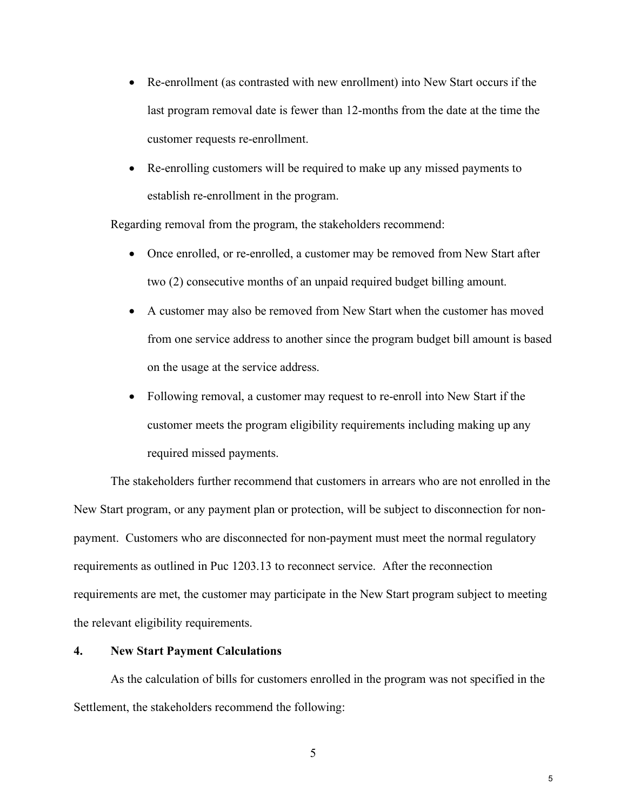- Re-enrollment (as contrasted with new enrollment) into New Start occurs if the last program removal date is fewer than 12-months from the date at the time the customer requests re-enrollment.
- Re-enrolling customers will be required to make up any missed payments to establish re-enrollment in the program.

Regarding removal from the program, the stakeholders recommend:

- Once enrolled, or re-enrolled, a customer may be removed from New Start after two (2) consecutive months of an unpaid required budget billing amount.
- A customer may also be removed from New Start when the customer has moved from one service address to another since the program budget bill amount is based on the usage at the service address.
- Following removal, a customer may request to re-enroll into New Start if the customer meets the program eligibility requirements including making up any required missed payments.

The stakeholders further recommend that customers in arrears who are not enrolled in the New Start program, or any payment plan or protection, will be subject to disconnection for nonpayment. Customers who are disconnected for non-payment must meet the normal regulatory requirements as outlined in Puc 1203.13 to reconnect service. After the reconnection requirements are met, the customer may participate in the New Start program subject to meeting the relevant eligibility requirements.

# **4. New Start Payment Calculations**

As the calculation of bills for customers enrolled in the program was not specified in the Settlement, the stakeholders recommend the following: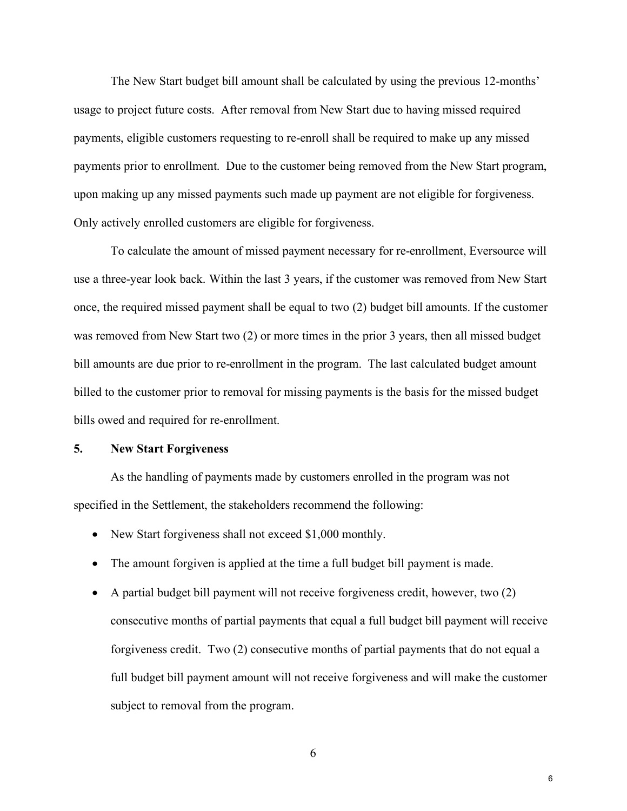The New Start budget bill amount shall be calculated by using the previous 12-months' usage to project future costs. After removal from New Start due to having missed required payments, eligible customers requesting to re-enroll shall be required to make up any missed payments prior to enrollment. Due to the customer being removed from the New Start program, upon making up any missed payments such made up payment are not eligible for forgiveness. Only actively enrolled customers are eligible for forgiveness.

To calculate the amount of missed payment necessary for re-enrollment, Eversource will use a three-year look back. Within the last 3 years, if the customer was removed from New Start once, the required missed payment shall be equal to two (2) budget bill amounts. If the customer was removed from New Start two (2) or more times in the prior 3 years, then all missed budget bill amounts are due prior to re-enrollment in the program. The last calculated budget amount billed to the customer prior to removal for missing payments is the basis for the missed budget bills owed and required for re-enrollment.

#### **5. New Start Forgiveness**

As the handling of payments made by customers enrolled in the program was not specified in the Settlement, the stakeholders recommend the following:

- New Start forgiveness shall not exceed \$1,000 monthly.
- The amount forgiven is applied at the time a full budget bill payment is made.
- A partial budget bill payment will not receive forgiveness credit, however, two (2) consecutive months of partial payments that equal a full budget bill payment will receive forgiveness credit. Two (2) consecutive months of partial payments that do not equal a full budget bill payment amount will not receive forgiveness and will make the customer subject to removal from the program.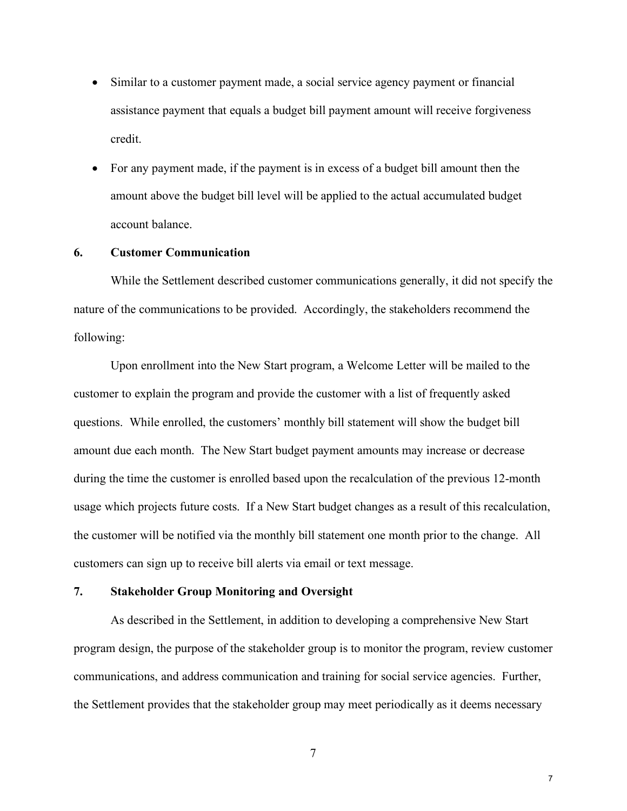- Similar to a customer payment made, a social service agency payment or financial assistance payment that equals a budget bill payment amount will receive forgiveness credit.
- For any payment made, if the payment is in excess of a budget bill amount then the amount above the budget bill level will be applied to the actual accumulated budget account balance.

#### **6. Customer Communication**

While the Settlement described customer communications generally, it did not specify the nature of the communications to be provided. Accordingly, the stakeholders recommend the following:

Upon enrollment into the New Start program, a Welcome Letter will be mailed to the customer to explain the program and provide the customer with a list of frequently asked questions. While enrolled, the customers' monthly bill statement will show the budget bill amount due each month. The New Start budget payment amounts may increase or decrease during the time the customer is enrolled based upon the recalculation of the previous 12-month usage which projects future costs. If a New Start budget changes as a result of this recalculation, the customer will be notified via the monthly bill statement one month prior to the change. All customers can sign up to receive bill alerts via email or text message.

#### **7. Stakeholder Group Monitoring and Oversight**

As described in the Settlement, in addition to developing a comprehensive New Start program design, the purpose of the stakeholder group is to monitor the program, review customer communications, and address communication and training for social service agencies. Further, the Settlement provides that the stakeholder group may meet periodically as it deems necessary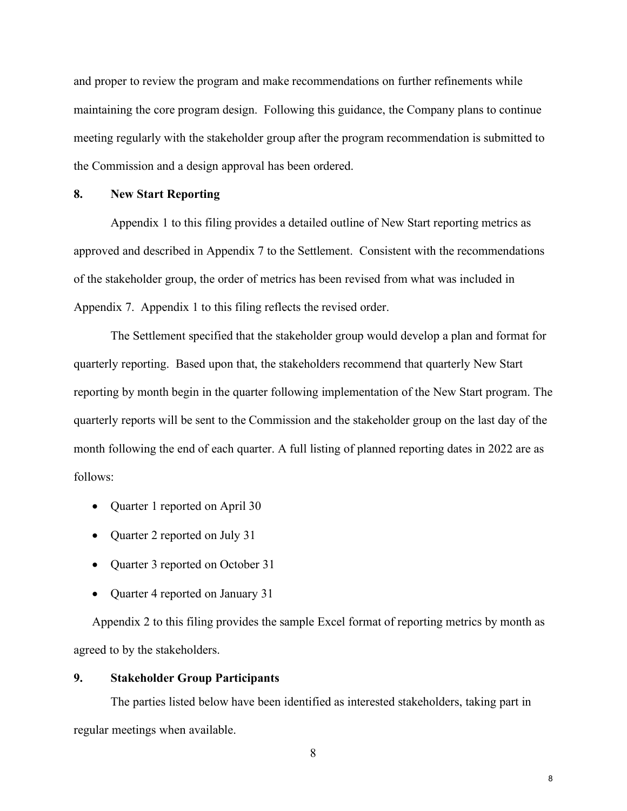and proper to review the program and make recommendations on further refinements while maintaining the core program design. Following this guidance, the Company plans to continue meeting regularly with the stakeholder group after the program recommendation is submitted to the Commission and a design approval has been ordered.

# **8. New Start Reporting**

Appendix 1 to this filing provides a detailed outline of New Start reporting metrics as approved and described in Appendix 7 to the Settlement. Consistent with the recommendations of the stakeholder group, the order of metrics has been revised from what was included in Appendix 7. Appendix 1 to this filing reflects the revised order.

The Settlement specified that the stakeholder group would develop a plan and format for quarterly reporting. Based upon that, the stakeholders recommend that quarterly New Start reporting by month begin in the quarter following implementation of the New Start program. The quarterly reports will be sent to the Commission and the stakeholder group on the last day of the month following the end of each quarter. A full listing of planned reporting dates in 2022 are as follows:

- Quarter 1 reported on April 30
- Quarter 2 reported on July 31
- Quarter 3 reported on October 31
- Quarter 4 reported on January 31

Appendix 2 to this filing provides the sample Excel format of reporting metrics by month as agreed to by the stakeholders.

#### **9. Stakeholder Group Participants**

The parties listed below have been identified as interested stakeholders, taking part in regular meetings when available.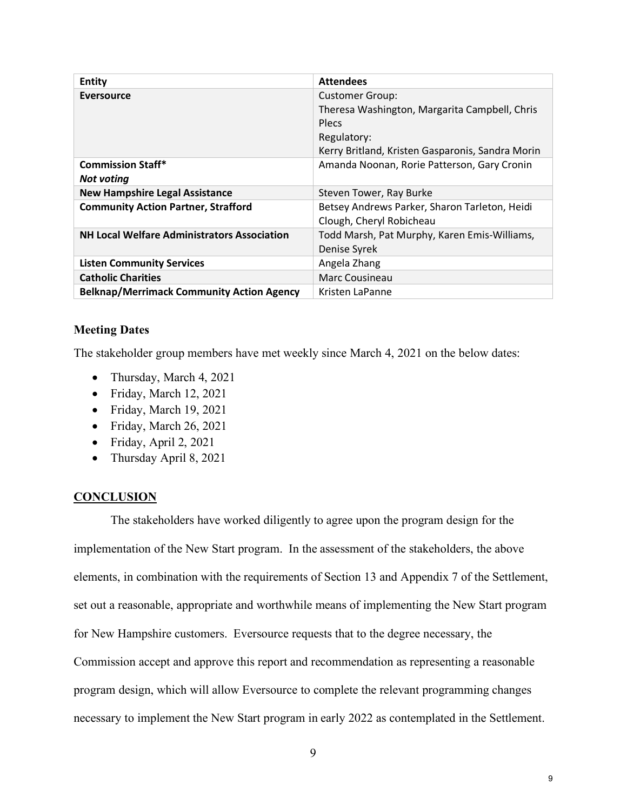| Entity                                             | <b>Attendees</b>                                                                                                                                    |
|----------------------------------------------------|-----------------------------------------------------------------------------------------------------------------------------------------------------|
| <b>Eversource</b>                                  | <b>Customer Group:</b><br>Theresa Washington, Margarita Campbell, Chris<br>Plecs<br>Regulatory:<br>Kerry Britland, Kristen Gasparonis, Sandra Morin |
| <b>Commission Staff*</b><br><b>Not voting</b>      | Amanda Noonan, Rorie Patterson, Gary Cronin                                                                                                         |
| <b>New Hampshire Legal Assistance</b>              | Steven Tower, Ray Burke                                                                                                                             |
| <b>Community Action Partner, Strafford</b>         | Betsey Andrews Parker, Sharon Tarleton, Heidi<br>Clough, Cheryl Robicheau                                                                           |
| <b>NH Local Welfare Administrators Association</b> | Todd Marsh, Pat Murphy, Karen Emis-Williams,<br>Denise Syrek                                                                                        |
| <b>Listen Community Services</b>                   | Angela Zhang                                                                                                                                        |
| <b>Catholic Charities</b>                          | Marc Cousineau                                                                                                                                      |
| <b>Belknap/Merrimack Community Action Agency</b>   | Kristen LaPanne                                                                                                                                     |

# **Meeting Dates**

The stakeholder group members have met weekly since March 4, 2021 on the below dates:

- Thursday, March 4, 2021
- Friday, March 12, 2021
- Friday, March 19, 2021
- Friday, March 26, 2021
- Friday, April 2, 2021
- Thursday April 8, 2021

# **CONCLUSION**

The stakeholders have worked diligently to agree upon the program design for the implementation of the New Start program. In the assessment of the stakeholders, the above elements, in combination with the requirements of Section 13 and Appendix 7 of the Settlement, set out a reasonable, appropriate and worthwhile means of implementing the New Start program for New Hampshire customers. Eversource requests that to the degree necessary, the Commission accept and approve this report and recommendation as representing a reasonable program design, which will allow Eversource to complete the relevant programming changes necessary to implement the New Start program in early 2022 as contemplated in the Settlement.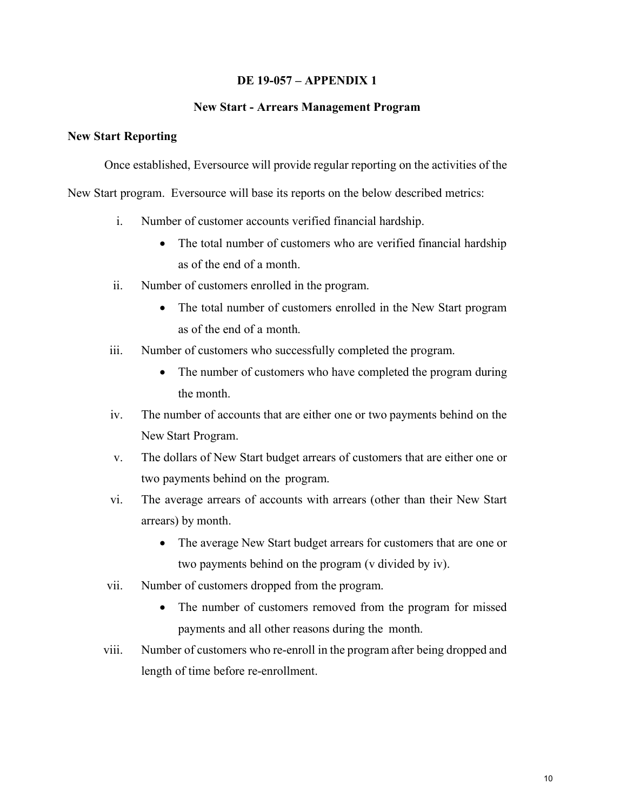# **DE 19-057 – APPENDIX 1**

#### **New Start - Arrears Management Program**

#### **New Start Reporting**

Once established, Eversource will provide regular reporting on the activities of the

New Start program. Eversource will base its reports on the below described metrics:

- i. Number of customer accounts verified financial hardship.
	- The total number of customers who are verified financial hardship as of the end of a month.
- ii. Number of customers enrolled in the program.
	- The total number of customers enrolled in the New Start program as of the end of a month.
- iii. Number of customers who successfully completed the program.
	- The number of customers who have completed the program during the month.
- iv. The number of accounts that are either one or two payments behind on the New Start Program.
- v. The dollars of New Start budget arrears of customers that are either one or two payments behind on the program.
- vi. The average arrears of accounts with arrears (other than their New Start arrears) by month.
	- The average New Start budget arrears for customers that are one or two payments behind on the program (v divided by iv).
- vii. Number of customers dropped from the program.
	- The number of customers removed from the program for missed payments and all other reasons during the month.
- viii. Number of customers who re-enroll in the program after being dropped and length of time before re-enrollment.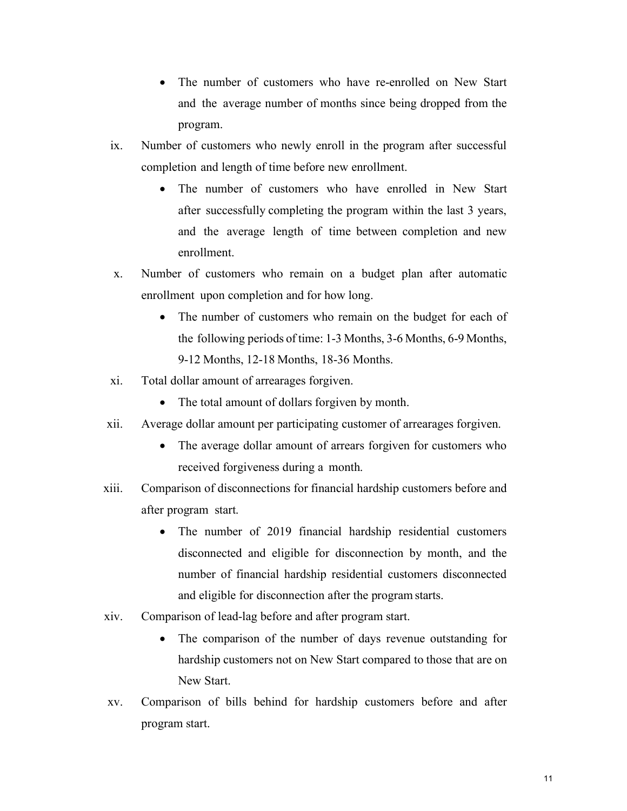- The number of customers who have re-enrolled on New Start and the average number of months since being dropped from the program.
- ix. Number of customers who newly enroll in the program after successful completion and length of time before new enrollment.
	- The number of customers who have enrolled in New Start after successfully completing the program within the last 3 years, and the average length of time between completion and new enrollment.
- x. Number of customers who remain on a budget plan after automatic enrollment upon completion and for how long.
	- The number of customers who remain on the budget for each of the following periods of time: 1-3 Months, 3-6 Months, 6-9 Months, 9-12 Months, 12-18 Months, 18-36 Months.
- xi. Total dollar amount of arrearages forgiven.
	- The total amount of dollars forgiven by month.
- xii. Average dollar amount per participating customer of arrearages forgiven.
	- The average dollar amount of arrears forgiven for customers who received forgiveness during a month.
- xiii. Comparison of disconnections for financial hardship customers before and after program start.
	- The number of 2019 financial hardship residential customers disconnected and eligible for disconnection by month, and the number of financial hardship residential customers disconnected and eligible for disconnection after the program starts.
- xiv. Comparison of lead-lag before and after program start.
	- The comparison of the number of days revenue outstanding for hardship customers not on New Start compared to those that are on New Start.
- xv. Comparison of bills behind for hardship customers before and after program start.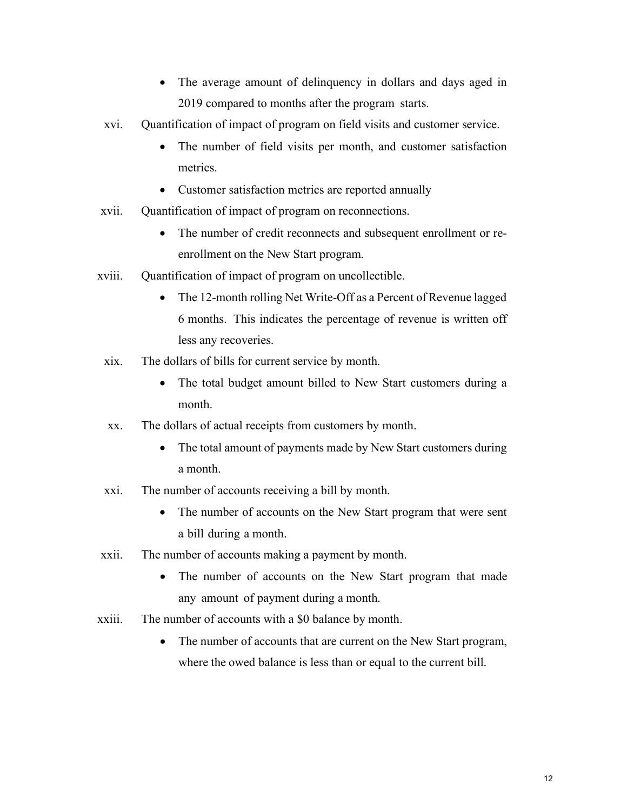- The average amount of delinquency in dollars and days aged in 2019 compared to months after the program starts.
- xvi. Quantification of impact of program on field visits and customer service.
	- The number of field visits per month, and customer satisfaction metrics.
	- Customer satisfaction metrics are reported annually
- xvii. Quantification of impact of program on reconnections.
	- The number of credit reconnects and subsequent enrollment or reenrollment on the New Start program.
- xviii. Quantification of impact of program on uncollectible.
	- The 12-month rolling Net Write-Off as a Percent of Revenue lagged 6 months. This indicates the percentage of revenue is written off less any recoveries.
	- xix. The dollars of bills for current service by month.
		- The total budget amount billed to New Start customers during a month.
	- xx. The dollars of actual receipts from customers by month.
		- The total amount of payments made by New Start customers during a month.
	- xxi. The number of accounts receiving a bill by month.
		- The number of accounts on the New Start program that were sent a bill during a month.
- xxii. The number of accounts making a payment by month.
	- The number of accounts on the New Start program that made any amount of payment during a month.
- xxiii. The number of accounts with a \$0 balance by month.
	- The number of accounts that are current on the New Start program, where the owed balance is less than or equal to the current bill.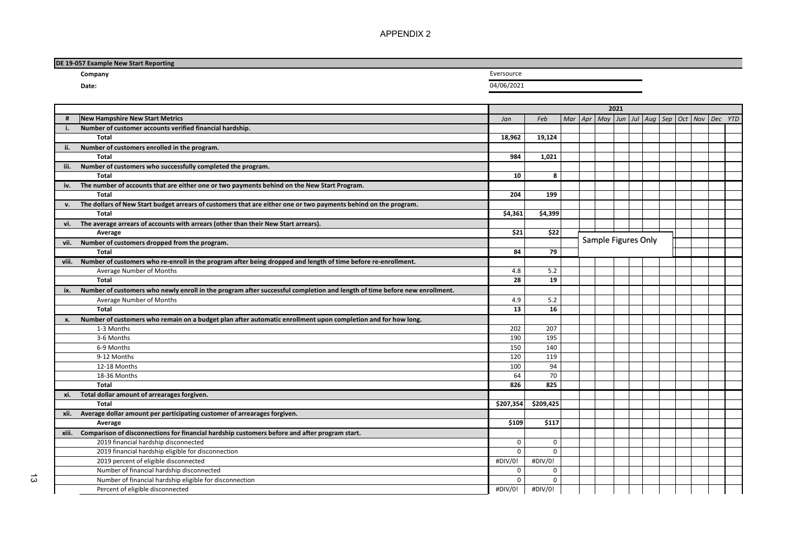APPENDIX 2

| DE 19-057 Example New Start Reporting |            |  |
|---------------------------------------|------------|--|
| Company                               | Eversource |  |
| Date:                                 | 04/06/2021 |  |

| <b>New Hampshire New Start Metrics</b><br>Mar   Apr   May   Jun   Jul   Aug   Sep   Oct   Nov   Dec YTD<br>Feb<br>Jan<br>Number of customer accounts verified financial hardship.<br>Total<br>18,962<br>19,124<br>Number of customers enrolled in the program.<br>ii.<br><b>Total</b><br>984<br>1.021<br>Number of customers who successfully completed the program.<br>iii.<br>8<br><b>Total</b><br>10<br>iv. The number of accounts that are either one or two payments behind on the New Start Program.<br>204<br>199<br>Total<br>The dollars of New Start budget arrears of customers that are either one or two payments behind on the program.<br>v.<br>Total<br>\$4,361<br>\$4,399<br>vi. The average arrears of accounts with arrears (other than their New Start arrears).<br>\$21<br>\$22<br>Average<br>Sample Figures Only<br>vii. Number of customers dropped from the program.<br>Total<br>84<br>79<br>viii. Number of customers who re-enroll in the program after being dropped and length of time before re-enrollment.<br>Average Number of Months<br>4.8<br>5.2<br>Total<br>19<br>28<br>ix. Number of customers who newly enroll in the program after successful completion and length of time before new enrollment.<br>5.2<br>Average Number of Months<br>4.9<br>13<br>16<br>Total<br>Number of customers who remain on a budget plan after automatic enrollment upon completion and for how long.<br>x.<br>202<br>207<br>1-3 Months<br>3-6 Months<br>190<br>195<br>150<br>6-9 Months<br>140<br>9-12 Months<br>120<br>119<br>94<br>100<br>12-18 Months<br>64<br>70<br>18-36 Months<br>Total<br>826<br>825<br>xi. Total dollar amount of arrearages forgiven.<br>\$209,425<br>Total<br>\$207,354<br>xii. Average dollar amount per participating customer of arrearages forgiven.<br>\$117<br>\$109<br>Average<br>xiii. Comparison of disconnections for financial hardship customers before and after program start.<br>2019 financial hardship disconnected<br>$\mathbf 0$<br>$\mathbf 0$<br>2019 financial hardship eligible for disconnection<br>$\Omega$<br>$\Omega$<br>2019 percent of eligible disconnected<br>#DIV/0!<br>#DIV/0!<br>Number of financial hardship disconnected<br>$\mathbf 0$<br>$\mathbf 0$<br>$\mathbf 0$<br>Number of financial hardship eligible for disconnection<br>$\Omega$<br>#DIV/0!<br>#DIV/0!<br>Percent of eligible disconnected |  | 2021 |  |  |  |  |  |  |  |  |  |  |  |
|----------------------------------------------------------------------------------------------------------------------------------------------------------------------------------------------------------------------------------------------------------------------------------------------------------------------------------------------------------------------------------------------------------------------------------------------------------------------------------------------------------------------------------------------------------------------------------------------------------------------------------------------------------------------------------------------------------------------------------------------------------------------------------------------------------------------------------------------------------------------------------------------------------------------------------------------------------------------------------------------------------------------------------------------------------------------------------------------------------------------------------------------------------------------------------------------------------------------------------------------------------------------------------------------------------------------------------------------------------------------------------------------------------------------------------------------------------------------------------------------------------------------------------------------------------------------------------------------------------------------------------------------------------------------------------------------------------------------------------------------------------------------------------------------------------------------------------------------------------------------------------------------------------------------------------------------------------------------------------------------------------------------------------------------------------------------------------------------------------------------------------------------------------------------------------------------------------------------------------------------------------------------------------------------------------------------------------------------------------------------------------------|--|------|--|--|--|--|--|--|--|--|--|--|--|
|                                                                                                                                                                                                                                                                                                                                                                                                                                                                                                                                                                                                                                                                                                                                                                                                                                                                                                                                                                                                                                                                                                                                                                                                                                                                                                                                                                                                                                                                                                                                                                                                                                                                                                                                                                                                                                                                                                                                                                                                                                                                                                                                                                                                                                                                                                                                                                                        |  |      |  |  |  |  |  |  |  |  |  |  |  |
|                                                                                                                                                                                                                                                                                                                                                                                                                                                                                                                                                                                                                                                                                                                                                                                                                                                                                                                                                                                                                                                                                                                                                                                                                                                                                                                                                                                                                                                                                                                                                                                                                                                                                                                                                                                                                                                                                                                                                                                                                                                                                                                                                                                                                                                                                                                                                                                        |  |      |  |  |  |  |  |  |  |  |  |  |  |
|                                                                                                                                                                                                                                                                                                                                                                                                                                                                                                                                                                                                                                                                                                                                                                                                                                                                                                                                                                                                                                                                                                                                                                                                                                                                                                                                                                                                                                                                                                                                                                                                                                                                                                                                                                                                                                                                                                                                                                                                                                                                                                                                                                                                                                                                                                                                                                                        |  |      |  |  |  |  |  |  |  |  |  |  |  |
|                                                                                                                                                                                                                                                                                                                                                                                                                                                                                                                                                                                                                                                                                                                                                                                                                                                                                                                                                                                                                                                                                                                                                                                                                                                                                                                                                                                                                                                                                                                                                                                                                                                                                                                                                                                                                                                                                                                                                                                                                                                                                                                                                                                                                                                                                                                                                                                        |  |      |  |  |  |  |  |  |  |  |  |  |  |
|                                                                                                                                                                                                                                                                                                                                                                                                                                                                                                                                                                                                                                                                                                                                                                                                                                                                                                                                                                                                                                                                                                                                                                                                                                                                                                                                                                                                                                                                                                                                                                                                                                                                                                                                                                                                                                                                                                                                                                                                                                                                                                                                                                                                                                                                                                                                                                                        |  |      |  |  |  |  |  |  |  |  |  |  |  |
|                                                                                                                                                                                                                                                                                                                                                                                                                                                                                                                                                                                                                                                                                                                                                                                                                                                                                                                                                                                                                                                                                                                                                                                                                                                                                                                                                                                                                                                                                                                                                                                                                                                                                                                                                                                                                                                                                                                                                                                                                                                                                                                                                                                                                                                                                                                                                                                        |  |      |  |  |  |  |  |  |  |  |  |  |  |
|                                                                                                                                                                                                                                                                                                                                                                                                                                                                                                                                                                                                                                                                                                                                                                                                                                                                                                                                                                                                                                                                                                                                                                                                                                                                                                                                                                                                                                                                                                                                                                                                                                                                                                                                                                                                                                                                                                                                                                                                                                                                                                                                                                                                                                                                                                                                                                                        |  |      |  |  |  |  |  |  |  |  |  |  |  |
|                                                                                                                                                                                                                                                                                                                                                                                                                                                                                                                                                                                                                                                                                                                                                                                                                                                                                                                                                                                                                                                                                                                                                                                                                                                                                                                                                                                                                                                                                                                                                                                                                                                                                                                                                                                                                                                                                                                                                                                                                                                                                                                                                                                                                                                                                                                                                                                        |  |      |  |  |  |  |  |  |  |  |  |  |  |
|                                                                                                                                                                                                                                                                                                                                                                                                                                                                                                                                                                                                                                                                                                                                                                                                                                                                                                                                                                                                                                                                                                                                                                                                                                                                                                                                                                                                                                                                                                                                                                                                                                                                                                                                                                                                                                                                                                                                                                                                                                                                                                                                                                                                                                                                                                                                                                                        |  |      |  |  |  |  |  |  |  |  |  |  |  |
|                                                                                                                                                                                                                                                                                                                                                                                                                                                                                                                                                                                                                                                                                                                                                                                                                                                                                                                                                                                                                                                                                                                                                                                                                                                                                                                                                                                                                                                                                                                                                                                                                                                                                                                                                                                                                                                                                                                                                                                                                                                                                                                                                                                                                                                                                                                                                                                        |  |      |  |  |  |  |  |  |  |  |  |  |  |
|                                                                                                                                                                                                                                                                                                                                                                                                                                                                                                                                                                                                                                                                                                                                                                                                                                                                                                                                                                                                                                                                                                                                                                                                                                                                                                                                                                                                                                                                                                                                                                                                                                                                                                                                                                                                                                                                                                                                                                                                                                                                                                                                                                                                                                                                                                                                                                                        |  |      |  |  |  |  |  |  |  |  |  |  |  |
|                                                                                                                                                                                                                                                                                                                                                                                                                                                                                                                                                                                                                                                                                                                                                                                                                                                                                                                                                                                                                                                                                                                                                                                                                                                                                                                                                                                                                                                                                                                                                                                                                                                                                                                                                                                                                                                                                                                                                                                                                                                                                                                                                                                                                                                                                                                                                                                        |  |      |  |  |  |  |  |  |  |  |  |  |  |
|                                                                                                                                                                                                                                                                                                                                                                                                                                                                                                                                                                                                                                                                                                                                                                                                                                                                                                                                                                                                                                                                                                                                                                                                                                                                                                                                                                                                                                                                                                                                                                                                                                                                                                                                                                                                                                                                                                                                                                                                                                                                                                                                                                                                                                                                                                                                                                                        |  |      |  |  |  |  |  |  |  |  |  |  |  |
|                                                                                                                                                                                                                                                                                                                                                                                                                                                                                                                                                                                                                                                                                                                                                                                                                                                                                                                                                                                                                                                                                                                                                                                                                                                                                                                                                                                                                                                                                                                                                                                                                                                                                                                                                                                                                                                                                                                                                                                                                                                                                                                                                                                                                                                                                                                                                                                        |  |      |  |  |  |  |  |  |  |  |  |  |  |
|                                                                                                                                                                                                                                                                                                                                                                                                                                                                                                                                                                                                                                                                                                                                                                                                                                                                                                                                                                                                                                                                                                                                                                                                                                                                                                                                                                                                                                                                                                                                                                                                                                                                                                                                                                                                                                                                                                                                                                                                                                                                                                                                                                                                                                                                                                                                                                                        |  |      |  |  |  |  |  |  |  |  |  |  |  |
|                                                                                                                                                                                                                                                                                                                                                                                                                                                                                                                                                                                                                                                                                                                                                                                                                                                                                                                                                                                                                                                                                                                                                                                                                                                                                                                                                                                                                                                                                                                                                                                                                                                                                                                                                                                                                                                                                                                                                                                                                                                                                                                                                                                                                                                                                                                                                                                        |  |      |  |  |  |  |  |  |  |  |  |  |  |
|                                                                                                                                                                                                                                                                                                                                                                                                                                                                                                                                                                                                                                                                                                                                                                                                                                                                                                                                                                                                                                                                                                                                                                                                                                                                                                                                                                                                                                                                                                                                                                                                                                                                                                                                                                                                                                                                                                                                                                                                                                                                                                                                                                                                                                                                                                                                                                                        |  |      |  |  |  |  |  |  |  |  |  |  |  |
|                                                                                                                                                                                                                                                                                                                                                                                                                                                                                                                                                                                                                                                                                                                                                                                                                                                                                                                                                                                                                                                                                                                                                                                                                                                                                                                                                                                                                                                                                                                                                                                                                                                                                                                                                                                                                                                                                                                                                                                                                                                                                                                                                                                                                                                                                                                                                                                        |  |      |  |  |  |  |  |  |  |  |  |  |  |
|                                                                                                                                                                                                                                                                                                                                                                                                                                                                                                                                                                                                                                                                                                                                                                                                                                                                                                                                                                                                                                                                                                                                                                                                                                                                                                                                                                                                                                                                                                                                                                                                                                                                                                                                                                                                                                                                                                                                                                                                                                                                                                                                                                                                                                                                                                                                                                                        |  |      |  |  |  |  |  |  |  |  |  |  |  |
|                                                                                                                                                                                                                                                                                                                                                                                                                                                                                                                                                                                                                                                                                                                                                                                                                                                                                                                                                                                                                                                                                                                                                                                                                                                                                                                                                                                                                                                                                                                                                                                                                                                                                                                                                                                                                                                                                                                                                                                                                                                                                                                                                                                                                                                                                                                                                                                        |  |      |  |  |  |  |  |  |  |  |  |  |  |
|                                                                                                                                                                                                                                                                                                                                                                                                                                                                                                                                                                                                                                                                                                                                                                                                                                                                                                                                                                                                                                                                                                                                                                                                                                                                                                                                                                                                                                                                                                                                                                                                                                                                                                                                                                                                                                                                                                                                                                                                                                                                                                                                                                                                                                                                                                                                                                                        |  |      |  |  |  |  |  |  |  |  |  |  |  |
|                                                                                                                                                                                                                                                                                                                                                                                                                                                                                                                                                                                                                                                                                                                                                                                                                                                                                                                                                                                                                                                                                                                                                                                                                                                                                                                                                                                                                                                                                                                                                                                                                                                                                                                                                                                                                                                                                                                                                                                                                                                                                                                                                                                                                                                                                                                                                                                        |  |      |  |  |  |  |  |  |  |  |  |  |  |
|                                                                                                                                                                                                                                                                                                                                                                                                                                                                                                                                                                                                                                                                                                                                                                                                                                                                                                                                                                                                                                                                                                                                                                                                                                                                                                                                                                                                                                                                                                                                                                                                                                                                                                                                                                                                                                                                                                                                                                                                                                                                                                                                                                                                                                                                                                                                                                                        |  |      |  |  |  |  |  |  |  |  |  |  |  |
|                                                                                                                                                                                                                                                                                                                                                                                                                                                                                                                                                                                                                                                                                                                                                                                                                                                                                                                                                                                                                                                                                                                                                                                                                                                                                                                                                                                                                                                                                                                                                                                                                                                                                                                                                                                                                                                                                                                                                                                                                                                                                                                                                                                                                                                                                                                                                                                        |  |      |  |  |  |  |  |  |  |  |  |  |  |
|                                                                                                                                                                                                                                                                                                                                                                                                                                                                                                                                                                                                                                                                                                                                                                                                                                                                                                                                                                                                                                                                                                                                                                                                                                                                                                                                                                                                                                                                                                                                                                                                                                                                                                                                                                                                                                                                                                                                                                                                                                                                                                                                                                                                                                                                                                                                                                                        |  |      |  |  |  |  |  |  |  |  |  |  |  |
|                                                                                                                                                                                                                                                                                                                                                                                                                                                                                                                                                                                                                                                                                                                                                                                                                                                                                                                                                                                                                                                                                                                                                                                                                                                                                                                                                                                                                                                                                                                                                                                                                                                                                                                                                                                                                                                                                                                                                                                                                                                                                                                                                                                                                                                                                                                                                                                        |  |      |  |  |  |  |  |  |  |  |  |  |  |
|                                                                                                                                                                                                                                                                                                                                                                                                                                                                                                                                                                                                                                                                                                                                                                                                                                                                                                                                                                                                                                                                                                                                                                                                                                                                                                                                                                                                                                                                                                                                                                                                                                                                                                                                                                                                                                                                                                                                                                                                                                                                                                                                                                                                                                                                                                                                                                                        |  |      |  |  |  |  |  |  |  |  |  |  |  |
|                                                                                                                                                                                                                                                                                                                                                                                                                                                                                                                                                                                                                                                                                                                                                                                                                                                                                                                                                                                                                                                                                                                                                                                                                                                                                                                                                                                                                                                                                                                                                                                                                                                                                                                                                                                                                                                                                                                                                                                                                                                                                                                                                                                                                                                                                                                                                                                        |  |      |  |  |  |  |  |  |  |  |  |  |  |
|                                                                                                                                                                                                                                                                                                                                                                                                                                                                                                                                                                                                                                                                                                                                                                                                                                                                                                                                                                                                                                                                                                                                                                                                                                                                                                                                                                                                                                                                                                                                                                                                                                                                                                                                                                                                                                                                                                                                                                                                                                                                                                                                                                                                                                                                                                                                                                                        |  |      |  |  |  |  |  |  |  |  |  |  |  |
|                                                                                                                                                                                                                                                                                                                                                                                                                                                                                                                                                                                                                                                                                                                                                                                                                                                                                                                                                                                                                                                                                                                                                                                                                                                                                                                                                                                                                                                                                                                                                                                                                                                                                                                                                                                                                                                                                                                                                                                                                                                                                                                                                                                                                                                                                                                                                                                        |  |      |  |  |  |  |  |  |  |  |  |  |  |
|                                                                                                                                                                                                                                                                                                                                                                                                                                                                                                                                                                                                                                                                                                                                                                                                                                                                                                                                                                                                                                                                                                                                                                                                                                                                                                                                                                                                                                                                                                                                                                                                                                                                                                                                                                                                                                                                                                                                                                                                                                                                                                                                                                                                                                                                                                                                                                                        |  |      |  |  |  |  |  |  |  |  |  |  |  |
|                                                                                                                                                                                                                                                                                                                                                                                                                                                                                                                                                                                                                                                                                                                                                                                                                                                                                                                                                                                                                                                                                                                                                                                                                                                                                                                                                                                                                                                                                                                                                                                                                                                                                                                                                                                                                                                                                                                                                                                                                                                                                                                                                                                                                                                                                                                                                                                        |  |      |  |  |  |  |  |  |  |  |  |  |  |
|                                                                                                                                                                                                                                                                                                                                                                                                                                                                                                                                                                                                                                                                                                                                                                                                                                                                                                                                                                                                                                                                                                                                                                                                                                                                                                                                                                                                                                                                                                                                                                                                                                                                                                                                                                                                                                                                                                                                                                                                                                                                                                                                                                                                                                                                                                                                                                                        |  |      |  |  |  |  |  |  |  |  |  |  |  |
|                                                                                                                                                                                                                                                                                                                                                                                                                                                                                                                                                                                                                                                                                                                                                                                                                                                                                                                                                                                                                                                                                                                                                                                                                                                                                                                                                                                                                                                                                                                                                                                                                                                                                                                                                                                                                                                                                                                                                                                                                                                                                                                                                                                                                                                                                                                                                                                        |  |      |  |  |  |  |  |  |  |  |  |  |  |
|                                                                                                                                                                                                                                                                                                                                                                                                                                                                                                                                                                                                                                                                                                                                                                                                                                                                                                                                                                                                                                                                                                                                                                                                                                                                                                                                                                                                                                                                                                                                                                                                                                                                                                                                                                                                                                                                                                                                                                                                                                                                                                                                                                                                                                                                                                                                                                                        |  |      |  |  |  |  |  |  |  |  |  |  |  |
|                                                                                                                                                                                                                                                                                                                                                                                                                                                                                                                                                                                                                                                                                                                                                                                                                                                                                                                                                                                                                                                                                                                                                                                                                                                                                                                                                                                                                                                                                                                                                                                                                                                                                                                                                                                                                                                                                                                                                                                                                                                                                                                                                                                                                                                                                                                                                                                        |  |      |  |  |  |  |  |  |  |  |  |  |  |
|                                                                                                                                                                                                                                                                                                                                                                                                                                                                                                                                                                                                                                                                                                                                                                                                                                                                                                                                                                                                                                                                                                                                                                                                                                                                                                                                                                                                                                                                                                                                                                                                                                                                                                                                                                                                                                                                                                                                                                                                                                                                                                                                                                                                                                                                                                                                                                                        |  |      |  |  |  |  |  |  |  |  |  |  |  |
|                                                                                                                                                                                                                                                                                                                                                                                                                                                                                                                                                                                                                                                                                                                                                                                                                                                                                                                                                                                                                                                                                                                                                                                                                                                                                                                                                                                                                                                                                                                                                                                                                                                                                                                                                                                                                                                                                                                                                                                                                                                                                                                                                                                                                                                                                                                                                                                        |  |      |  |  |  |  |  |  |  |  |  |  |  |
|                                                                                                                                                                                                                                                                                                                                                                                                                                                                                                                                                                                                                                                                                                                                                                                                                                                                                                                                                                                                                                                                                                                                                                                                                                                                                                                                                                                                                                                                                                                                                                                                                                                                                                                                                                                                                                                                                                                                                                                                                                                                                                                                                                                                                                                                                                                                                                                        |  |      |  |  |  |  |  |  |  |  |  |  |  |
|                                                                                                                                                                                                                                                                                                                                                                                                                                                                                                                                                                                                                                                                                                                                                                                                                                                                                                                                                                                                                                                                                                                                                                                                                                                                                                                                                                                                                                                                                                                                                                                                                                                                                                                                                                                                                                                                                                                                                                                                                                                                                                                                                                                                                                                                                                                                                                                        |  |      |  |  |  |  |  |  |  |  |  |  |  |